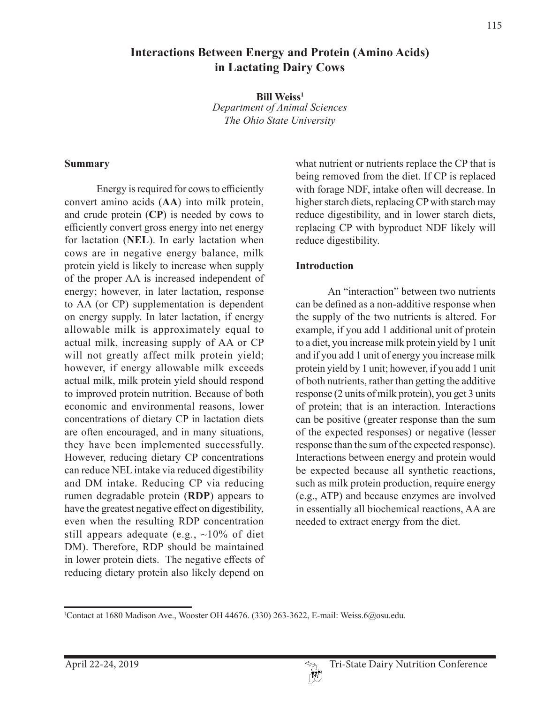# **Interactions Between Energy and Protein (Amino Acids) in Lactating Dairy Cows**

**Bill Weiss1** *Department of Animal Sciences The Ohio State University*

#### **Summary**

Energy is required for cows to efficiently convert amino acids (**AA**) into milk protein, and crude protein (**CP**) is needed by cows to efficiently convert gross energy into net energy for lactation (**NEL**). In early lactation when cows are in negative energy balance, milk protein yield is likely to increase when supply of the proper AA is increased independent of energy; however, in later lactation, response to AA (or CP) supplementation is dependent on energy supply. In later lactation, if energy allowable milk is approximately equal to actual milk, increasing supply of AA or CP will not greatly affect milk protein yield; however, if energy allowable milk exceeds actual milk, milk protein yield should respond to improved protein nutrition. Because of both economic and environmental reasons, lower concentrations of dietary CP in lactation diets are often encouraged, and in many situations, they have been implemented successfully. However, reducing dietary CP concentrations can reduce NEL intake via reduced digestibility and DM intake. Reducing CP via reducing rumen degradable protein (**RDP**) appears to have the greatest negative effect on digestibility, even when the resulting RDP concentration still appears adequate (e.g.,  $\sim10\%$  of diet DM). Therefore, RDP should be maintained in lower protein diets. The negative effects of reducing dietary protein also likely depend on

what nutrient or nutrients replace the CP that is being removed from the diet. If CP is replaced with forage NDF, intake often will decrease. In higher starch diets, replacing CP with starch may reduce digestibility, and in lower starch diets, replacing CP with byproduct NDF likely will reduce digestibility.

#### **Introduction**

An "interaction" between two nutrients can be defined as a non-additive response when the supply of the two nutrients is altered. For example, if you add 1 additional unit of protein to a diet, you increase milk protein yield by 1 unit and if you add 1 unit of energy you increase milk protein yield by 1 unit; however, if you add 1 unit of both nutrients, rather than getting the additive response (2 units of milk protein), you get 3 units of protein; that is an interaction. Interactions can be positive (greater response than the sum of the expected responses) or negative (lesser response than the sum of the expected response). Interactions between energy and protein would be expected because all synthetic reactions, such as milk protein production, require energy (e.g., ATP) and because enzymes are involved in essentially all biochemical reactions, AA are needed to extract energy from the diet.

<sup>1</sup> Contact at 1680 Madison Ave., Wooster OH 44676. (330) 263-3622, E-mail: Weiss.6@osu.edu.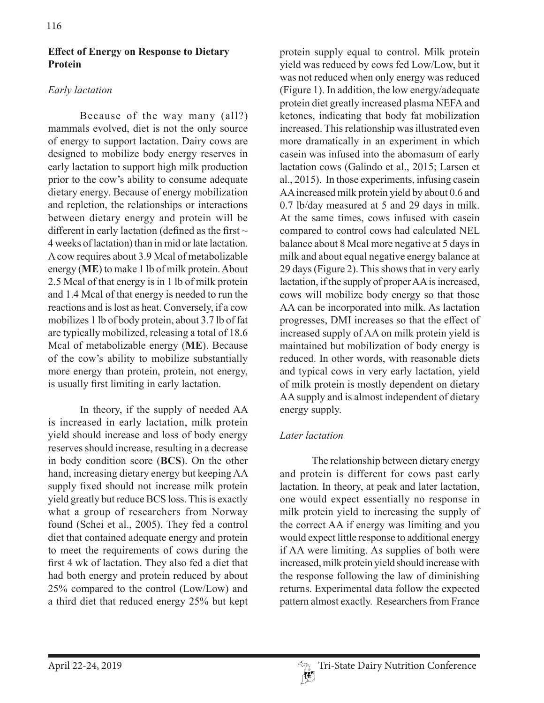### **Effect of Energy on Response to Dietary Protein**

## *Early lactation*

Because of the way many (all?) mammals evolved, diet is not the only source of energy to support lactation. Dairy cows are designed to mobilize body energy reserves in early lactation to support high milk production prior to the cow's ability to consume adequate dietary energy. Because of energy mobilization and repletion, the relationships or interactions between dietary energy and protein will be different in early lactation (defined as the first  $\sim$ 4 weeks of lactation) than in mid or late lactation. A cow requires about 3.9 Mcal of metabolizable energy (**ME**) to make 1 lb of milk protein. About 2.5 Mcal of that energy is in 1 lb of milk protein and 1.4 Mcal of that energy is needed to run the reactions and is lost as heat. Conversely, if a cow mobilizes 1 lb of body protein, about 3.7 lb of fat are typically mobilized, releasing a total of 18.6 Mcal of metabolizable energy (**ME**). Because of the cow's ability to mobilize substantially more energy than protein, protein, not energy, is usually first limiting in early lactation.

In theory, if the supply of needed AA is increased in early lactation, milk protein yield should increase and loss of body energy reserves should increase, resulting in a decrease in body condition score (**BCS**). On the other hand, increasing dietary energy but keeping AA supply fixed should not increase milk protein yield greatly but reduce BCS loss. This is exactly what a group of researchers from Norway found (Schei et al., 2005). They fed a control diet that contained adequate energy and protein to meet the requirements of cows during the first 4 wk of lactation. They also fed a diet that had both energy and protein reduced by about 25% compared to the control (Low/Low) and a third diet that reduced energy 25% but kept

protein supply equal to control. Milk protein yield was reduced by cows fed Low/Low, but it was not reduced when only energy was reduced (Figure 1). In addition, the low energy/adequate protein diet greatly increased plasma NEFA and ketones, indicating that body fat mobilization increased. This relationship was illustrated even more dramatically in an experiment in which casein was infused into the abomasum of early lactation cows (Galindo et al., 2015; Larsen et al., 2015). In those experiments, infusing casein AA increased milk protein yield by about 0.6 and 0.7 lb/day measured at 5 and 29 days in milk. At the same times, cows infused with casein compared to control cows had calculated NEL balance about 8 Mcal more negative at 5 days in milk and about equal negative energy balance at 29 days (Figure 2). This shows that in very early lactation, if the supply of proper AA is increased, cows will mobilize body energy so that those AA can be incorporated into milk. As lactation progresses, DMI increases so that the effect of increased supply of AA on milk protein yield is maintained but mobilization of body energy is reduced. In other words, with reasonable diets and typical cows in very early lactation, yield of milk protein is mostly dependent on dietary AA supply and is almost independent of dietary energy supply.

### *Later lactation*

The relationship between dietary energy and protein is different for cows past early lactation. In theory, at peak and later lactation, one would expect essentially no response in milk protein yield to increasing the supply of the correct AA if energy was limiting and you would expect little response to additional energy if AA were limiting. As supplies of both were increased, milk protein yield should increase with the response following the law of diminishing returns. Experimental data follow the expected pattern almost exactly. Researchers from France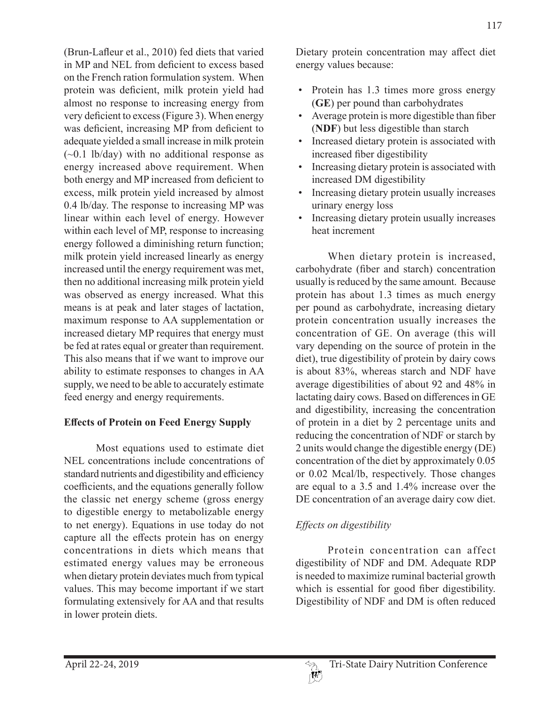(Brun-Lafleur et al., 2010) fed diets that varied in MP and NEL from deficient to excess based on the French ration formulation system. When protein was deficient, milk protein yield had almost no response to increasing energy from very deficient to excess (Figure 3). When energy was deficient, increasing MP from deficient to adequate yielded a small increase in milk protein  $(-0.1 \text{ lb/day})$  with no additional response as energy increased above requirement. When both energy and MP increased from deficient to excess, milk protein yield increased by almost 0.4 lb/day. The response to increasing MP was linear within each level of energy. However within each level of MP, response to increasing energy followed a diminishing return function; milk protein yield increased linearly as energy increased until the energy requirement was met, then no additional increasing milk protein yield was observed as energy increased. What this means is at peak and later stages of lactation, maximum response to AA supplementation or increased dietary MP requires that energy must be fed at rates equal or greater than requirement. This also means that if we want to improve our ability to estimate responses to changes in AA supply, we need to be able to accurately estimate feed energy and energy requirements.

### **Effects of Protein on Feed Energy Supply**

Most equations used to estimate diet NEL concentrations include concentrations of standard nutrients and digestibility and efficiency coefficients, and the equations generally follow the classic net energy scheme (gross energy to digestible energy to metabolizable energy to net energy). Equations in use today do not capture all the effects protein has on energy concentrations in diets which means that estimated energy values may be erroneous when dietary protein deviates much from typical values. This may become important if we start formulating extensively for AA and that results in lower protein diets.

Dietary protein concentration may affect diet energy values because:

- Protein has 1.3 times more gross energy (**GE**) per pound than carbohydrates
- Average protein is more digestible than fiber (**NDF**) but less digestible than starch
- Increased dietary protein is associated with increased fiber digestibility
- Increasing dietary protein is associated with increased DM digestibility
- Increasing dietary protein usually increases urinary energy loss
- Increasing dietary protein usually increases heat increment

When dietary protein is increased, carbohydrate (fiber and starch) concentration usually is reduced by the same amount. Because protein has about 1.3 times as much energy per pound as carbohydrate, increasing dietary protein concentration usually increases the concentration of GE. On average (this will vary depending on the source of protein in the diet), true digestibility of protein by dairy cows is about 83%, whereas starch and NDF have average digestibilities of about 92 and 48% in lactating dairy cows. Based on differences in GE and digestibility, increasing the concentration of protein in a diet by 2 percentage units and reducing the concentration of NDF or starch by 2 units would change the digestible energy (DE) concentration of the diet by approximately 0.05 or 0.02 Mcal/lb, respectively. Those changes are equal to a 3.5 and 1.4% increase over the DE concentration of an average dairy cow diet.

# *Effects on digestibility*

Protein concentration can affect digestibility of NDF and DM. Adequate RDP is needed to maximize ruminal bacterial growth which is essential for good fiber digestibility. Digestibility of NDF and DM is often reduced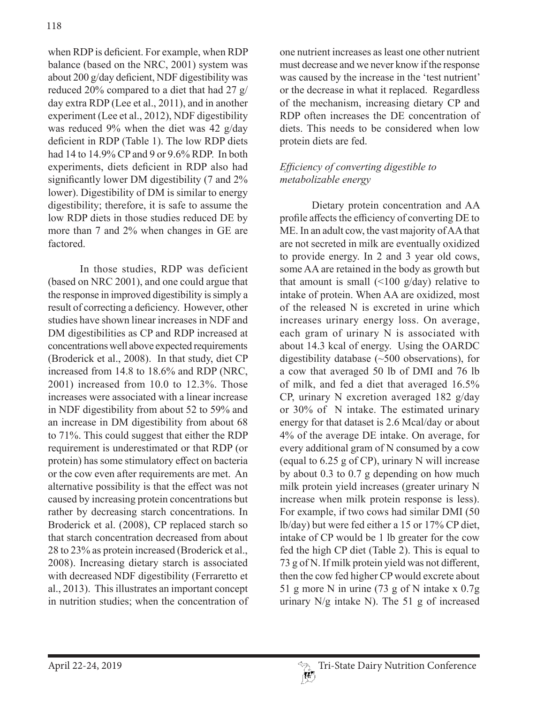when RDP is deficient. For example, when RDP balance (based on the NRC, 2001) system was about 200 g/day deficient, NDF digestibility was reduced 20% compared to a diet that had 27 g/ day extra RDP (Lee et al., 2011), and in another experiment (Lee et al., 2012), NDF digestibility was reduced 9% when the diet was 42 g/day deficient in RDP (Table 1). The low RDP diets had 14 to 14.9% CP and 9 or 9.6% RDP. In both experiments, diets deficient in RDP also had significantly lower DM digestibility (7 and 2% lower). Digestibility of DM is similar to energy digestibility; therefore, it is safe to assume the low RDP diets in those studies reduced DE by more than 7 and 2% when changes in GE are factored.

In those studies, RDP was deficient (based on NRC 2001), and one could argue that the response in improved digestibility is simply a result of correcting a deficiency. However, other studies have shown linear increases in NDF and DM digestibilities as CP and RDP increased at concentrations well above expected requirements (Broderick et al., 2008). In that study, diet CP increased from 14.8 to 18.6% and RDP (NRC, 2001) increased from 10.0 to 12.3%. Those increases were associated with a linear increase in NDF digestibility from about 52 to 59% and an increase in DM digestibility from about 68 to 71%. This could suggest that either the RDP requirement is underestimated or that RDP (or protein) has some stimulatory effect on bacteria or the cow even after requirements are met. An alternative possibility is that the effect was not caused by increasing protein concentrations but rather by decreasing starch concentrations. In Broderick et al. (2008), CP replaced starch so that starch concentration decreased from about 28 to 23% as protein increased (Broderick et al., 2008). Increasing dietary starch is associated with decreased NDF digestibility (Ferraretto et al., 2013). This illustrates an important concept in nutrition studies; when the concentration of

one nutrient increases as least one other nutrient must decrease and we never know if the response was caused by the increase in the 'test nutrient' or the decrease in what it replaced. Regardless of the mechanism, increasing dietary CP and RDP often increases the DE concentration of diets. This needs to be considered when low protein diets are fed.

### *Efficiency of converting digestible to metabolizable energy*

Dietary protein concentration and AA profile affects the efficiency of converting DE to ME. In an adult cow, the vast majority of AA that are not secreted in milk are eventually oxidized to provide energy. In 2 and 3 year old cows, some AA are retained in the body as growth but that amount is small  $($  < 100 g/day) relative to intake of protein. When AA are oxidized, most of the released N is excreted in urine which increases urinary energy loss. On average, each gram of urinary N is associated with about 14.3 kcal of energy. Using the OARDC digestibility database (~500 observations), for a cow that averaged 50 lb of DMI and 76 lb of milk, and fed a diet that averaged 16.5% CP, urinary N excretion averaged 182 g/day or 30% of N intake. The estimated urinary energy for that dataset is 2.6 Mcal/day or about 4% of the average DE intake. On average, for every additional gram of N consumed by a cow (equal to 6.25 g of CP), urinary N will increase by about 0.3 to 0.7 g depending on how much milk protein yield increases (greater urinary N increase when milk protein response is less). For example, if two cows had similar DMI (50 lb/day) but were fed either a 15 or 17% CP diet, intake of CP would be 1 lb greater for the cow fed the high CP diet (Table 2). This is equal to 73 g of N. If milk protein yield was not different, then the cow fed higher CP would excrete about 51 g more N in urine (73 g of N intake x 0.7g urinary  $N/g$  intake N). The 51 g of increased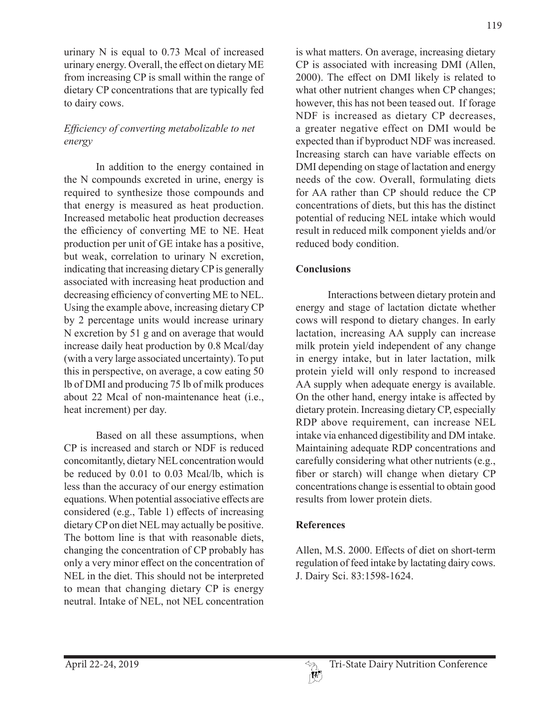urinary N is equal to 0.73 Mcal of increased urinary energy. Overall, the effect on dietary ME from increasing CP is small within the range of dietary CP concentrations that are typically fed to dairy cows.

### *Efficiency of converting metabolizable to net energy*

In addition to the energy contained in the N compounds excreted in urine, energy is required to synthesize those compounds and that energy is measured as heat production. Increased metabolic heat production decreases the efficiency of converting ME to NE. Heat production per unit of GE intake has a positive, but weak, correlation to urinary N excretion, indicating that increasing dietary CP is generally associated with increasing heat production and decreasing efficiency of converting ME to NEL. Using the example above, increasing dietary CP by 2 percentage units would increase urinary N excretion by 51 g and on average that would increase daily heat production by 0.8 Mcal/day (with a very large associated uncertainty). To put this in perspective, on average, a cow eating 50 lb of DMI and producing 75 lb of milk produces about 22 Mcal of non-maintenance heat (i.e., heat increment) per day.

Based on all these assumptions, when CP is increased and starch or NDF is reduced concomitantly, dietary NEL concentration would be reduced by 0.01 to 0.03 Mcal/lb, which is less than the accuracy of our energy estimation equations. When potential associative effects are considered (e.g., Table 1) effects of increasing dietary CP on diet NEL may actually be positive. The bottom line is that with reasonable diets, changing the concentration of CP probably has only a very minor effect on the concentration of NEL in the diet. This should not be interpreted to mean that changing dietary CP is energy neutral. Intake of NEL, not NEL concentration

is what matters. On average, increasing dietary CP is associated with increasing DMI (Allen, 2000). The effect on DMI likely is related to what other nutrient changes when CP changes; however, this has not been teased out. If forage NDF is increased as dietary CP decreases, a greater negative effect on DMI would be expected than if byproduct NDF was increased. Increasing starch can have variable effects on DMI depending on stage of lactation and energy needs of the cow. Overall, formulating diets for AA rather than CP should reduce the CP concentrations of diets, but this has the distinct potential of reducing NEL intake which would result in reduced milk component yields and/or reduced body condition.

## **Conclusions**

Interactions between dietary protein and energy and stage of lactation dictate whether cows will respond to dietary changes. In early lactation, increasing AA supply can increase milk protein yield independent of any change in energy intake, but in later lactation, milk protein yield will only respond to increased AA supply when adequate energy is available. On the other hand, energy intake is affected by dietary protein. Increasing dietary CP, especially RDP above requirement, can increase NEL intake via enhanced digestibility and DM intake. Maintaining adequate RDP concentrations and carefully considering what other nutrients (e.g., fiber or starch) will change when dietary CP concentrations change is essential to obtain good results from lower protein diets.

# **References**

Allen, M.S. 2000. Effects of diet on short-term regulation of feed intake by lactating dairy cows. J. Dairy Sci. 83:1598-1624.

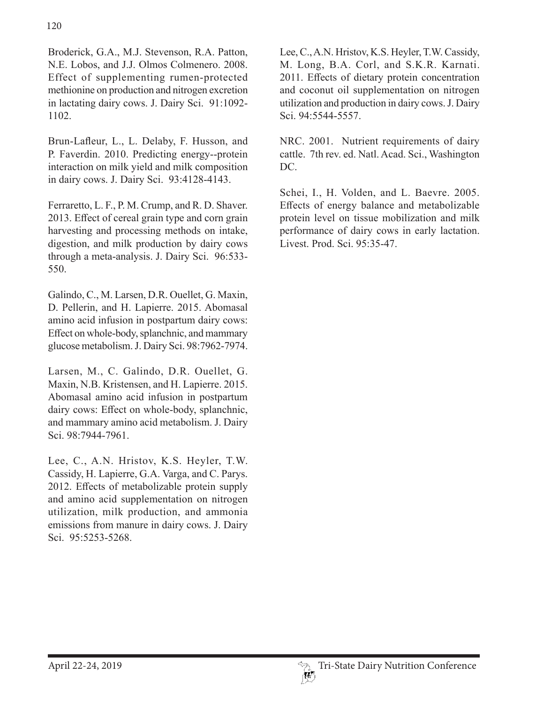Broderick, G.A., M.J. Stevenson, R.A. Patton, N.E. Lobos, and J.J. Olmos Colmenero. 2008. Effect of supplementing rumen-protected methionine on production and nitrogen excretion in lactating dairy cows. J. Dairy Sci. 91:1092- 1102.

Brun-Lafleur, L., L. Delaby, F. Husson, and P. Faverdin. 2010. Predicting energy--protein interaction on milk yield and milk composition in dairy cows. J. Dairy Sci. 93:4128-4143.

Ferraretto, L. F., P. M. Crump, and R. D. Shaver. 2013. Effect of cereal grain type and corn grain harvesting and processing methods on intake, digestion, and milk production by dairy cows through a meta-analysis. J. Dairy Sci. 96:533- 550.

Galindo, C., M. Larsen, D.R. Ouellet, G. Maxin, D. Pellerin, and H. Lapierre. 2015. Abomasal amino acid infusion in postpartum dairy cows: Effect on whole-body, splanchnic, and mammary glucose metabolism. J. Dairy Sci. 98:7962-7974.

Larsen, M., C. Galindo, D.R. Ouellet, G. Maxin, N.B. Kristensen, and H. Lapierre. 2015. Abomasal amino acid infusion in postpartum dairy cows: Effect on whole-body, splanchnic, and mammary amino acid metabolism. J. Dairy Sci. 98:7944-7961.

Lee, C., A.N. Hristov, K.S. Heyler, T.W. Cassidy, H. Lapierre, G.A. Varga, and C. Parys. 2012. Effects of metabolizable protein supply and amino acid supplementation on nitrogen utilization, milk production, and ammonia emissions from manure in dairy cows. J. Dairy Sci. 95:5253-5268.

Lee, C., A.N. Hristov, K.S. Heyler, T.W. Cassidy, M. Long, B.A. Corl, and S.K.R. Karnati. 2011. Effects of dietary protein concentration and coconut oil supplementation on nitrogen utilization and production in dairy cows. J. Dairy Sci. 94:5544-5557.

NRC. 2001. Nutrient requirements of dairy cattle. 7th rev. ed. Natl. Acad. Sci., Washington DC.

Schei, I., H. Volden, and L. Baevre. 2005. Effects of energy balance and metabolizable protein level on tissue mobilization and milk performance of dairy cows in early lactation. Livest. Prod. Sci. 95:35-47.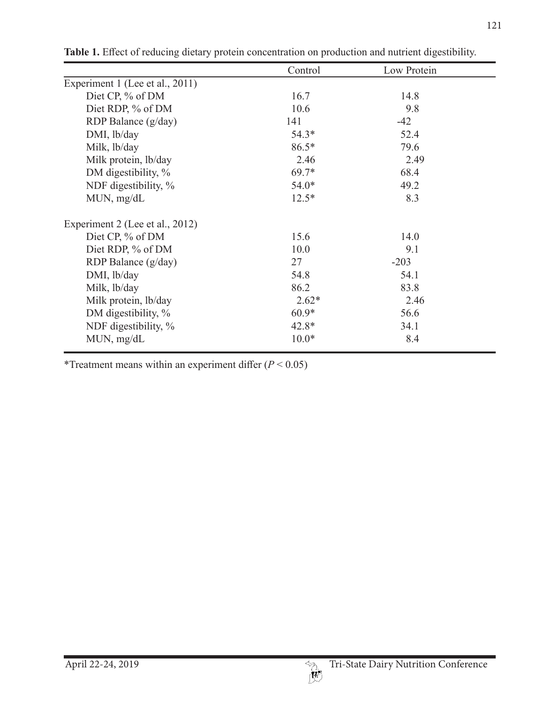| Control | Low Protein |  |
|---------|-------------|--|
|         |             |  |
| 16.7    | 14.8        |  |
| 10.6    | 9.8         |  |
| 141     | $-42$       |  |
| $54.3*$ | 52.4        |  |
| $86.5*$ | 79.6        |  |
| 2.46    | 2.49        |  |
| $69.7*$ | 68.4        |  |
| $54.0*$ | 49.2        |  |
| $12.5*$ | 8.3         |  |
|         |             |  |
| 15.6    | 14.0        |  |
| 10.0    | 9.1         |  |
| 27      | $-203$      |  |
| 54.8    | 54.1        |  |
| 86.2    | 83.8        |  |
| $2.62*$ | 2.46        |  |
| $60.9*$ | 56.6        |  |
| $42.8*$ | 34.1        |  |
| $10.0*$ | 8.4         |  |
|         |             |  |

**Table 1.** Effect of reducing dietary protein concentration on production and nutrient digestibility.

\*Treatment means within an experiment differ (*P* < 0.05)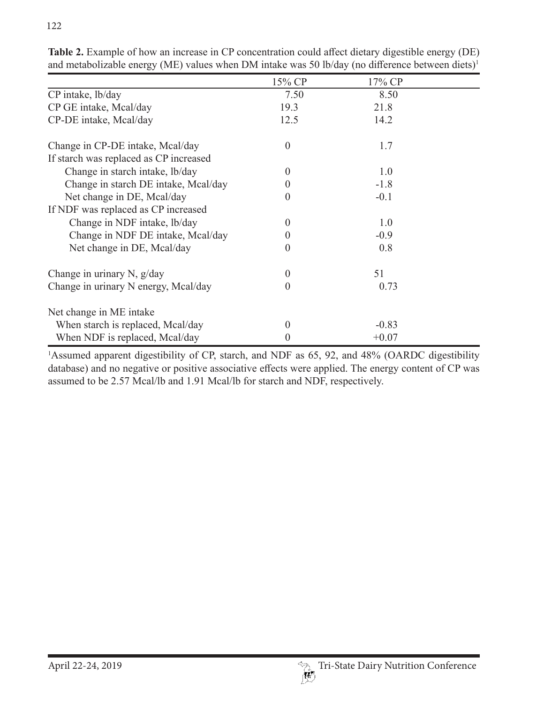|                                        | 15% CP           | 17% CP  |  |
|----------------------------------------|------------------|---------|--|
| CP intake, lb/day                      | 7.50             | 8.50    |  |
| CP GE intake, Mcal/day                 | 19.3             | 21.8    |  |
| CP-DE intake, Mcal/day                 | 12.5             | 14.2    |  |
| Change in CP-DE intake, Mcal/day       | $\theta$         | 1.7     |  |
| If starch was replaced as CP increased |                  |         |  |
| Change in starch intake, lb/day        | $\Omega$         | 1.0     |  |
| Change in starch DE intake, Mcal/day   | $\theta$         | $-1.8$  |  |
| Net change in DE, Mcal/day             | $\left( \right)$ | $-0.1$  |  |
| If NDF was replaced as CP increased    |                  |         |  |
| Change in NDF intake, lb/day           | $\Omega$         | 1.0     |  |
| Change in NDF DE intake, Mcal/day      | $\theta$         | $-0.9$  |  |
| Net change in DE, Mcal/day             | $\left( \right)$ | 0.8     |  |
| Change in urinary N, $g/day$           | $\Omega$         | 51      |  |
| Change in urinary N energy, Mcal/day   | $\left( \right)$ | 0.73    |  |
| Net change in ME intake                |                  |         |  |
| When starch is replaced, Mcal/day      | $\Omega$         | $-0.83$ |  |
| When NDF is replaced, Mcal/day         | $\theta$         | $+0.07$ |  |

**Table 2.** Example of how an increase in CP concentration could affect dietary digestible energy (DE) and metabolizable energy (ME) values when DM intake was 50 lb/day (no difference between diets)<sup>1</sup>

<sup>1</sup>Assumed apparent digestibility of CP, starch, and NDF as 65, 92, and 48% (OARDC digestibility database) and no negative or positive associative effects were applied. The energy content of CP was assumed to be 2.57 Mcal/lb and 1.91 Mcal/lb for starch and NDF, respectively.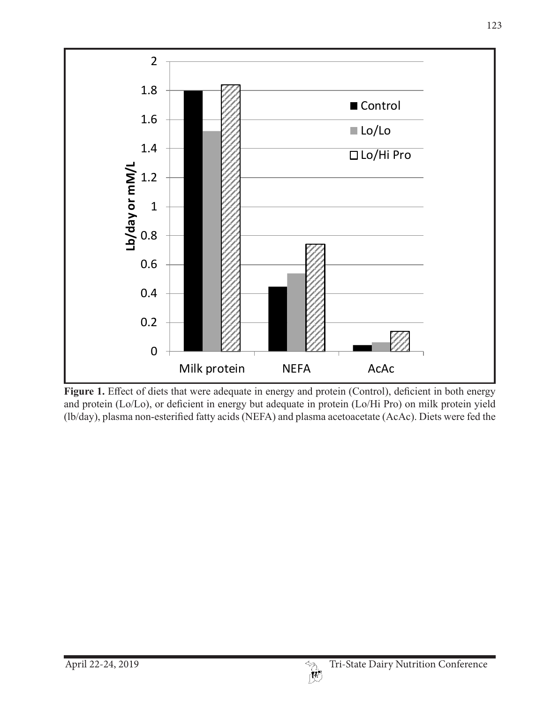

Figure 1. Effect of diets that were adequate in energy and protein (Control), deficient in both energy and protein (Lo/Lo), or deficient in energy but adequate in protein (Lo/Hi Pro) on milk protein yield (lb/day), plasma non-esterified fatty acids (NEFA) and plasma acetoacetate (AcAc). Diets were fed the